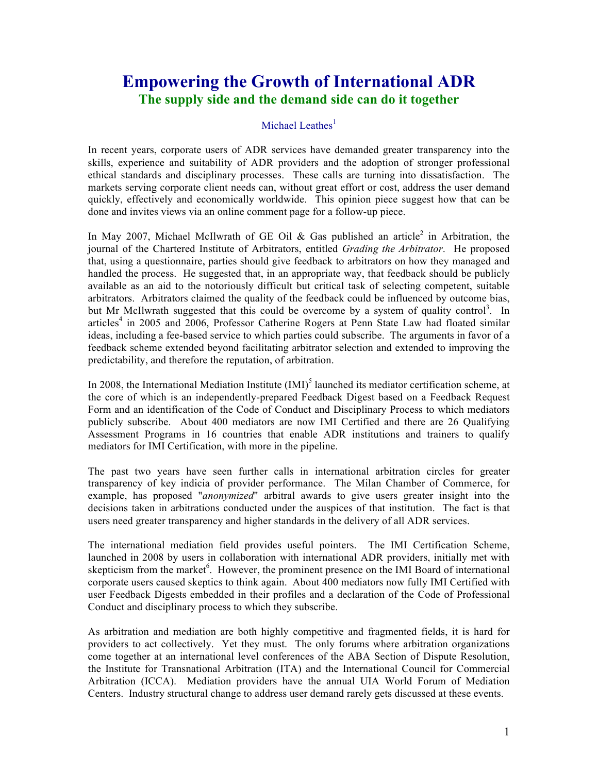## **Empowering the Growth of International ADR The supply side and the demand side can do it together**

## Michael Leathes $<sup>1</sup>$ </sup>

In recent years, corporate users of ADR services have demanded greater transparency into the skills, experience and suitability of ADR providers and the adoption of stronger professional ethical standards and disciplinary processes. These calls are turning into dissatisfaction. The markets serving corporate client needs can, without great effort or cost, address the user demand quickly, effectively and economically worldwide. This opinion piece suggest how that can be done and invites views via an online comment page for a follow-up piece.

In May 2007, Michael McIlwrath of GE Oil & Gas published an article<sup>2</sup> in Arbitration, the journal of the Chartered Institute of Arbitrators, entitled *Grading the Arbitrator*. He proposed that, using a questionnaire, parties should give feedback to arbitrators on how they managed and handled the process. He suggested that, in an appropriate way, that feedback should be publicly available as an aid to the notoriously difficult but critical task of selecting competent, suitable arbitrators. Arbitrators claimed the quality of the feedback could be influenced by outcome bias, but Mr McIlwrath suggested that this could be overcome by a system of quality control<sup>3</sup>. In articles<sup>4</sup> in 2005 and 2006, Professor Catherine Rogers at Penn State Law had floated similar ideas, including a fee-based service to which parties could subscribe. The arguments in favor of a feedback scheme extended beyond facilitating arbitrator selection and extended to improving the predictability, and therefore the reputation, of arbitration.

In 2008, the International Mediation Institute  $(IMI)^5$  launched its mediator certification scheme, at the core of which is an independently-prepared Feedback Digest based on a Feedback Request Form and an identification of the Code of Conduct and Disciplinary Process to which mediators publicly subscribe. About 400 mediators are now IMI Certified and there are 26 Qualifying Assessment Programs in 16 countries that enable ADR institutions and trainers to qualify mediators for IMI Certification, with more in the pipeline.

The past two years have seen further calls in international arbitration circles for greater transparency of key indicia of provider performance. The Milan Chamber of Commerce, for example, has proposed "*anonymized*" arbitral awards to give users greater insight into the decisions taken in arbitrations conducted under the auspices of that institution. The fact is that users need greater transparency and higher standards in the delivery of all ADR services.

The international mediation field provides useful pointers. The IMI Certification Scheme, launched in 2008 by users in collaboration with international ADR providers, initially met with skepticism from the market<sup>6</sup>. However, the prominent presence on the IMI Board of international corporate users caused skeptics to think again. About 400 mediators now fully IMI Certified with user Feedback Digests embedded in their profiles and a declaration of the Code of Professional Conduct and disciplinary process to which they subscribe.

As arbitration and mediation are both highly competitive and fragmented fields, it is hard for providers to act collectively. Yet they must. The only forums where arbitration organizations come together at an international level conferences of the ABA Section of Dispute Resolution, the Institute for Transnational Arbitration (ITA) and the International Council for Commercial Arbitration (ICCA). Mediation providers have the annual UIA World Forum of Mediation Centers. Industry structural change to address user demand rarely gets discussed at these events.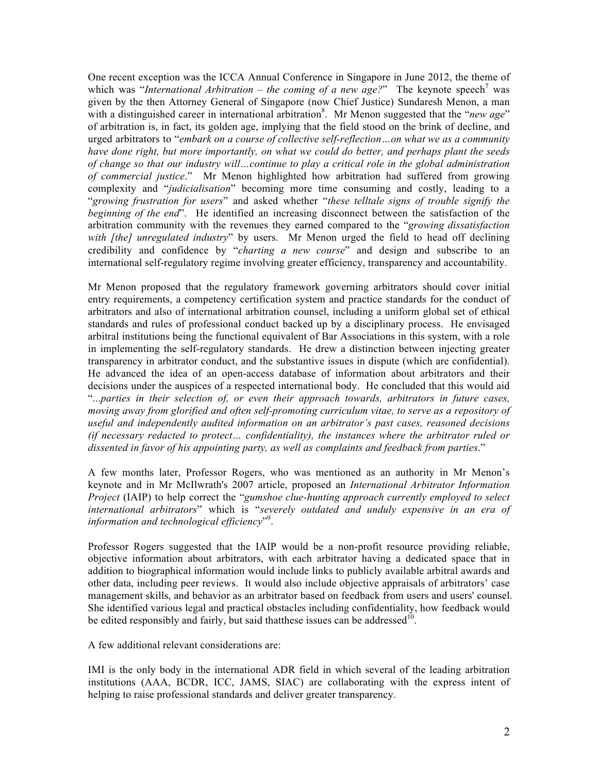One recent exception was the ICCA Annual Conference in Singapore in June 2012, the theme of which was "*International Arbitration – the coming of a new age?*" The keynote speech<sup>7</sup> was given by the then Attorney General of Singapore (now Chief Justice) Sundaresh Menon, a man with a distinguished career in international arbitration<sup>8</sup>. Mr Menon suggested that the "*new age*" of arbitration is, in fact, its golden age, implying that the field stood on the brink of decline, and urged arbitrators to "*embark on a course of collective self-reflection…on what we as a community have done right, but more importantly, on what we could do better, and perhaps plant the seeds of change so that our industry will…continue to play a critical role in the global administration of commercial justice*." Mr Menon highlighted how arbitration had suffered from growing complexity and "*judicialisation*" becoming more time consuming and costly, leading to a "*growing frustration for users*" and asked whether "*these telltale signs of trouble signify the beginning of the end*". He identified an increasing disconnect between the satisfaction of the arbitration community with the revenues they earned compared to the "*growing dissatisfaction with [the] unregulated industry*" by users. Mr Menon urged the field to head off declining credibility and confidence by "*charting a new course*" and design and subscribe to an international self-regulatory regime involving greater efficiency, transparency and accountability.

Mr Menon proposed that the regulatory framework governing arbitrators should cover initial entry requirements, a competency certification system and practice standards for the conduct of arbitrators and also of international arbitration counsel, including a uniform global set of ethical standards and rules of professional conduct backed up by a disciplinary process. He envisaged arbitral institutions being the functional equivalent of Bar Associations in this system, with a role in implementing the self-regulatory standards. He drew a distinction between injecting greater transparency in arbitrator conduct, and the substantive issues in dispute (which are confidential). He advanced the idea of an open-access database of information about arbitrators and their decisions under the auspices of a respected international body. He concluded that this would aid "...*parties in their selection of, or even their approach towards, arbitrators in future cases, moving away from glorified and often self-promoting curriculum vitae, to serve as a repository of useful and independently audited information on an arbitrator's past cases, reasoned decisions (if necessary redacted to protect… confidentiality), the instances where the arbitrator ruled or dissented in favor of his appointing party, as well as complaints and feedback from parties*."

A few months later, Professor Rogers, who was mentioned as an authority in Mr Menon's keynote and in Mr McIlwrath's 2007 article, proposed an *International Arbitrator Information Project* (IAIP) to help correct the "*gumshoe clue-hunting approach currently employed to select international arbitrators*" which is "*severely outdated and unduly expensive in an era of*  information and technological efficiency"<sup>9</sup>.

Professor Rogers suggested that the IAIP would be a non-profit resource providing reliable, objective information about arbitrators, with each arbitrator having a dedicated space that in addition to biographical information would include links to publicly available arbitral awards and other data, including peer reviews. It would also include objective appraisals of arbitrators' case management skills, and behavior as an arbitrator based on feedback from users and users' counsel. She identified various legal and practical obstacles including confidentiality, how feedback would be edited responsibly and fairly, but said that these issues can be addressed<sup>10</sup>.

A few additional relevant considerations are:

IMI is the only body in the international ADR field in which several of the leading arbitration institutions (AAA, BCDR, ICC, JAMS, SIAC) are collaborating with the express intent of helping to raise professional standards and deliver greater transparency.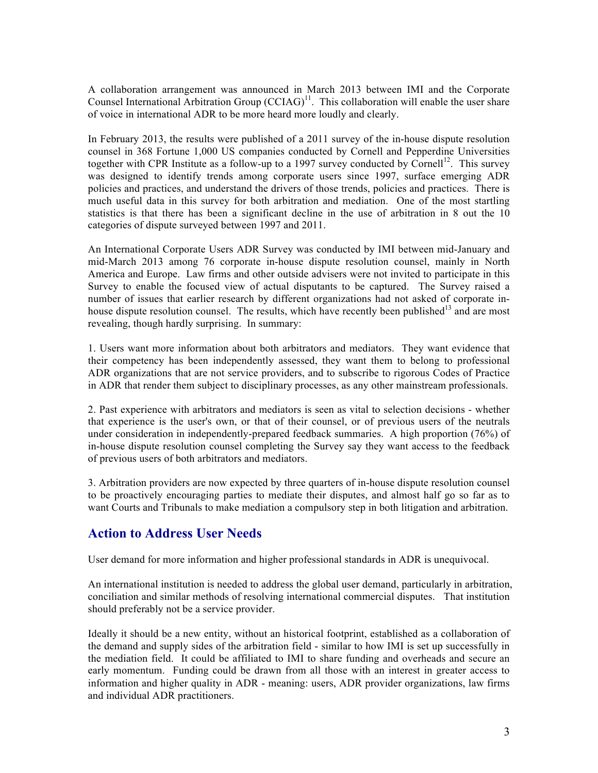A collaboration arrangement was announced in March 2013 between IMI and the Corporate Counsel International Arbitration Group  $(CCIAG)^{11}$ . This collaboration will enable the user share of voice in international ADR to be more heard more loudly and clearly.

In February 2013, the results were published of a 2011 survey of the in-house dispute resolution counsel in 368 Fortune 1,000 US companies conducted by Cornell and Pepperdine Universities together with CPR Institute as a follow-up to a 1997 survey conducted by Cornell<sup>12</sup>. This survey was designed to identify trends among corporate users since 1997, surface emerging ADR policies and practices, and understand the drivers of those trends, policies and practices. There is much useful data in this survey for both arbitration and mediation. One of the most startling statistics is that there has been a significant decline in the use of arbitration in 8 out the 10 categories of dispute surveyed between 1997 and 2011.

An International Corporate Users ADR Survey was conducted by IMI between mid-January and mid-March 2013 among 76 corporate in-house dispute resolution counsel, mainly in North America and Europe. Law firms and other outside advisers were not invited to participate in this Survey to enable the focused view of actual disputants to be captured. The Survey raised a number of issues that earlier research by different organizations had not asked of corporate inhouse dispute resolution counsel. The results, which have recently been published<sup>13</sup> and are most revealing, though hardly surprising. In summary:

1. Users want more information about both arbitrators and mediators. They want evidence that their competency has been independently assessed, they want them to belong to professional ADR organizations that are not service providers, and to subscribe to rigorous Codes of Practice in ADR that render them subject to disciplinary processes, as any other mainstream professionals.

2. Past experience with arbitrators and mediators is seen as vital to selection decisions - whether that experience is the user's own, or that of their counsel, or of previous users of the neutrals under consideration in independently-prepared feedback summaries. A high proportion (76%) of in-house dispute resolution counsel completing the Survey say they want access to the feedback of previous users of both arbitrators and mediators.

3. Arbitration providers are now expected by three quarters of in-house dispute resolution counsel to be proactively encouraging parties to mediate their disputes, and almost half go so far as to want Courts and Tribunals to make mediation a compulsory step in both litigation and arbitration.

## **Action to Address User Needs**

User demand for more information and higher professional standards in ADR is unequivocal.

An international institution is needed to address the global user demand, particularly in arbitration, conciliation and similar methods of resolving international commercial disputes. That institution should preferably not be a service provider.

Ideally it should be a new entity, without an historical footprint, established as a collaboration of the demand and supply sides of the arbitration field - similar to how IMI is set up successfully in the mediation field. It could be affiliated to IMI to share funding and overheads and secure an early momentum. Funding could be drawn from all those with an interest in greater access to information and higher quality in ADR - meaning: users, ADR provider organizations, law firms and individual ADR practitioners.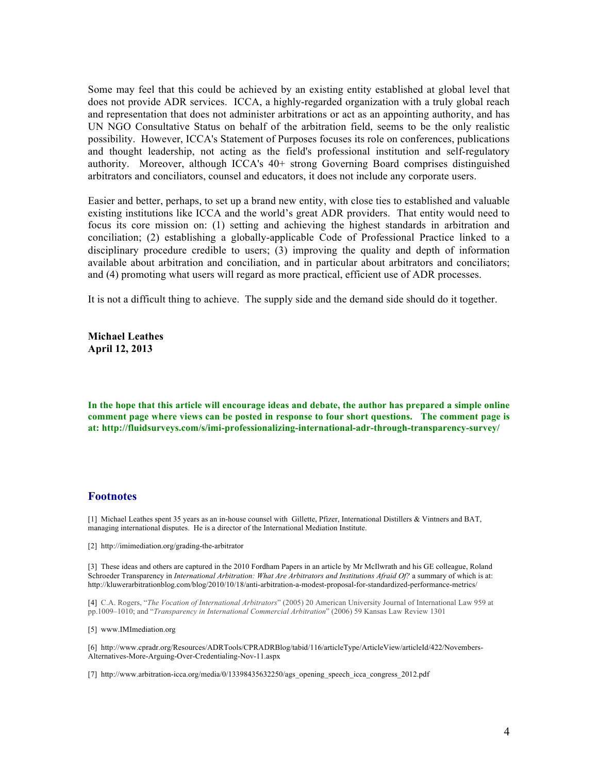Some may feel that this could be achieved by an existing entity established at global level that does not provide ADR services. ICCA, a highly-regarded organization with a truly global reach and representation that does not administer arbitrations or act as an appointing authority, and has UN NGO Consultative Status on behalf of the arbitration field, seems to be the only realistic possibility. However, ICCA's Statement of Purposes focuses its role on conferences, publications and thought leadership, not acting as the field's professional institution and self-regulatory authority. Moreover, although ICCA's 40+ strong Governing Board comprises distinguished arbitrators and conciliators, counsel and educators, it does not include any corporate users.

Easier and better, perhaps, to set up a brand new entity, with close ties to established and valuable existing institutions like ICCA and the world's great ADR providers. That entity would need to focus its core mission on: (1) setting and achieving the highest standards in arbitration and conciliation; (2) establishing a globally-applicable Code of Professional Practice linked to a disciplinary procedure credible to users; (3) improving the quality and depth of information available about arbitration and conciliation, and in particular about arbitrators and conciliators; and (4) promoting what users will regard as more practical, efficient use of ADR processes.

It is not a difficult thing to achieve. The supply side and the demand side should do it together.

**Michael Leathes April 12, 2013**

**In the hope that this article will encourage ideas and debate, the author has prepared a simple online comment page where views can be posted in response to four short questions. The comment page is at: http://fluidsurveys.com/s/imi-professionalizing-international-adr-through-transparency-survey/**

## **Footnotes**

[1] Michael Leathes spent 35 years as an in-house counsel with Gillette, Pfizer, International Distillers & Vintners and BAT, managing international disputes. He is a director of the International Mediation Institute.

[2] http://imimediation.org/grading-the-arbitrator

[3] These ideas and others are captured in the 2010 Fordham Papers in an article by Mr McIlwrath and his GE colleague, Roland Schroeder Transparency in *International Arbitration: What Are Arbitrators and Institutions Afraid Of?* a summary of which is at: http://kluwerarbitrationblog.com/blog/2010/10/18/anti-arbitration-a-modest-proposal-for-standardized-performance-metrics/

[4] C.A. Rogers, "*The Vocation of International Arbitrators*" (2005) 20 American University Journal of International Law 959 at pp.1009–1010; and "*Transparency in International Commercial Arbitration*" (2006) 59 Kansas Law Review 1301

[5] www.IMImediation.org

[6] http://www.cpradr.org/Resources/ADRTools/CPRADRBlog/tabid/116/articleType/ArticleView/articleId/422/Novembers-Alternatives-More-Arguing-Over-Credentialing-Nov-11.aspx

[7] http://www.arbitration-icca.org/media/0/13398435632250/ags\_opening\_speech\_icca\_congress\_2012.pdf